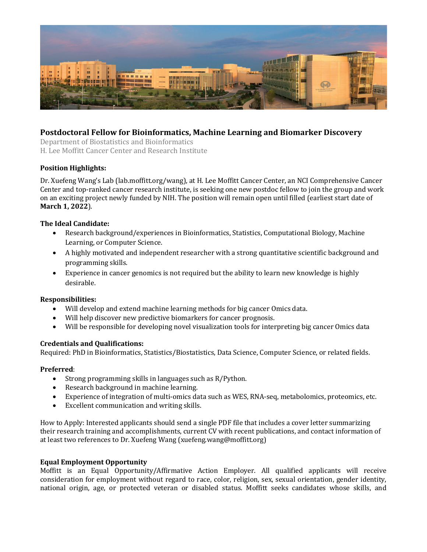

# **Postdoctoral Fellow for Bioinformatics, Machine Learning and Biomarker Discovery**

Department of Biostatistics and Bioinformatics H. Lee Moffitt Cancer Center and Research Institute

## **Position Highlights:**

Dr. Xuefeng Wang's Lab (lab.moffitt.org/wang), at H. Lee Moffitt Cancer Center, an NCI Comprehensive Cancer Center and top-ranked cancer research institute, is seeking one new postdoc fellow to join the group and work on an exciting project newly funded by NIH. The position will remain open until filled (earliest start date of **March 1, 2022**).

### **The Ideal Candidate:**

- Research background/experiences in Bioinformatics, Statistics, Computational Biology, Machine Learning, or Computer Science.
- A highly motivated and independent researcher with a strong quantitative scientific background and programming skills.
- Experience in cancer genomics is not required but the ability to learn new knowledge is highly desirable.

#### **Responsibilities:**

- Will develop and extend machine learning methods for big cancer Omics data.
- Will help discover new predictive biomarkers for cancer prognosis.
- Will be responsible for developing novel visualization tools for interpreting big cancer Omics data

## **Credentials and Qualifications:**

Required: PhD in Bioinformatics, Statistics/Biostatistics, Data Science, Computer Science, or related fields.

#### **Preferred**:

- Strong programming skills in languages such as  $R/Py$ thon.
- Research background in machine learning.
- Experience of integration of multi-omics data such as WES, RNA-seq, metabolomics, proteomics, etc.
- $\bullet$  Excellent communication and writing skills.

How to Apply: Interested applicants should send a single PDF file that includes a cover letter summarizing their research training and accomplishments, current CV with recent publications, and contact information of at least two references to Dr. Xuefeng Wang (xuefeng.wang@moffitt.org)

#### **Equal Employment Opportunity**

Moffitt is an Equal Opportunity/Affirmative Action Employer. All qualified applicants will receive consideration for employment without regard to race, color, religion, sex, sexual orientation, gender identity, national origin, age, or protected veteran or disabled status. Moffitt seeks candidates whose skills, and